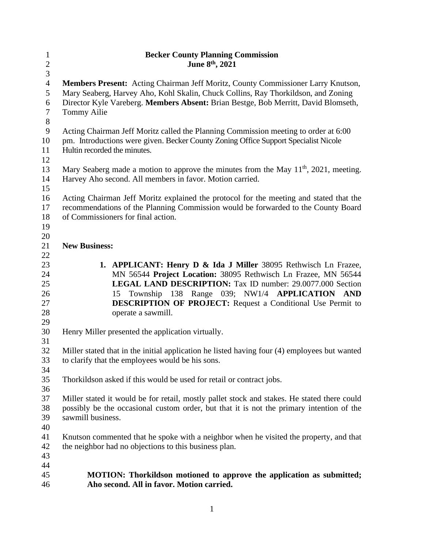| $\mathbf{1}$   | <b>Becker County Planning Commission</b>                                                                           |
|----------------|--------------------------------------------------------------------------------------------------------------------|
| $\overline{c}$ | June 8th, 2021                                                                                                     |
| 3              |                                                                                                                    |
| $\overline{4}$ | Members Present: Acting Chairman Jeff Moritz, County Commissioner Larry Knutson,                                   |
| 5              | Mary Seaberg, Harvey Aho, Kohl Skalin, Chuck Collins, Ray Thorkildson, and Zoning                                  |
| 6              | Director Kyle Vareberg. Members Absent: Brian Bestge, Bob Merritt, David Blomseth,                                 |
| $\tau$         | <b>Tommy Ailie</b>                                                                                                 |
| $8\,$          |                                                                                                                    |
| $\mathbf{9}$   | Acting Chairman Jeff Moritz called the Planning Commission meeting to order at 6:00                                |
| 10             | pm. Introductions were given. Becker County Zoning Office Support Specialist Nicole                                |
| 11             | Hultin recorded the minutes.                                                                                       |
| 12             |                                                                                                                    |
| 13             | Mary Seaberg made a motion to approve the minutes from the May $11th$ , 2021, meeting.                             |
| 14             | Harvey Aho second. All members in favor. Motion carried.                                                           |
| 15             |                                                                                                                    |
| 16             | Acting Chairman Jeff Moritz explained the protocol for the meeting and stated that the                             |
| 17             | recommendations of the Planning Commission would be forwarded to the County Board                                  |
| 18             | of Commissioners for final action.                                                                                 |
| 19             |                                                                                                                    |
| 20             |                                                                                                                    |
| 21             | <b>New Business:</b>                                                                                               |
| 22             |                                                                                                                    |
| 23             | 1. APPLICANT: Henry D & Ida J Miller 38095 Rethwisch Ln Frazee,                                                    |
| 24             | MN 56544 Project Location: 38095 Rethwisch Ln Frazee, MN 56544                                                     |
| 25             | <b>LEGAL LAND DESCRIPTION:</b> Tax ID number: 29.0077.000 Section                                                  |
| 26             | 15 Township 138 Range 039; NW1/4 APPLICATION AND                                                                   |
| 27             | <b>DESCRIPTION OF PROJECT:</b> Request a Conditional Use Permit to                                                 |
| 28             | operate a sawmill.                                                                                                 |
| 29             |                                                                                                                    |
| 30             | Henry Miller presented the application virtually.                                                                  |
| 31             |                                                                                                                    |
| 32             | Miller stated that in the initial application he listed having four (4) employees but wanted                       |
| 33             | to clarify that the employees would be his sons.                                                                   |
| 34             |                                                                                                                    |
| 35             | Thorkildson asked if this would be used for retail or contract jobs.                                               |
| 36             |                                                                                                                    |
| 37             |                                                                                                                    |
| 38             | Miller stated it would be for retail, mostly pallet stock and stakes. He stated there could                        |
| 39             | possibly be the occasional custom order, but that it is not the primary intention of the<br>sawmill business.      |
|                |                                                                                                                    |
| 40             |                                                                                                                    |
| 41             | Knutson commented that he spoke with a neighbor when he visited the property, and that                             |
| 42             | the neighbor had no objections to this business plan.                                                              |
| 43<br>44       |                                                                                                                    |
| 45             |                                                                                                                    |
| 46             | MOTION: Thorkildson motioned to approve the application as submitted;<br>Aho second. All in favor. Motion carried. |
|                |                                                                                                                    |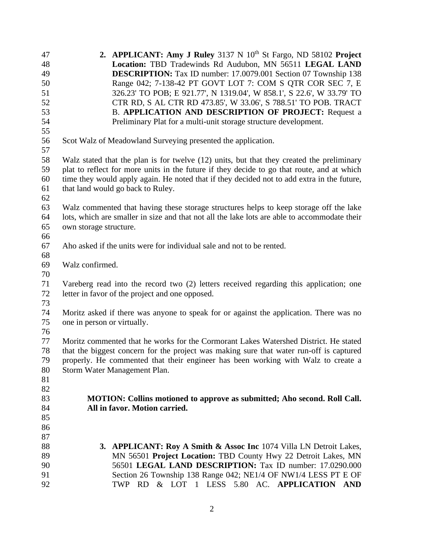| 47 | 2. APPLICANT: Amy J Ruley 3137 N 10th St Fargo, ND 58102 Project                             |
|----|----------------------------------------------------------------------------------------------|
| 48 | Location: TBD Tradewinds Rd Audubon, MN 56511 LEGAL LAND                                     |
| 49 | <b>DESCRIPTION:</b> Tax ID number: 17.0079.001 Section 07 Township 138                       |
| 50 | Range 042; 7-138-42 PT GOVT LOT 7: COM S QTR COR SEC 7, E                                    |
| 51 | 326.23' TO POB; E 921.77', N 1319.04', W 858.1', S 22.6', W 33.79' TO                        |
| 52 | CTR RD, S AL CTR RD 473.85', W 33.06', S 788.51' TO POB. TRACT                               |
| 53 | B. APPLICATION AND DESCRIPTION OF PROJECT: Request a                                         |
| 54 | Preliminary Plat for a multi-unit storage structure development.                             |
| 55 |                                                                                              |
| 56 | Scot Walz of Meadowland Surveying presented the application.                                 |
| 57 |                                                                                              |
| 58 | Walz stated that the plan is for twelve (12) units, but that they created the preliminary    |
| 59 | plat to reflect for more units in the future if they decide to go that route, and at which   |
| 60 | time they would apply again. He noted that if they decided not to add extra in the future,   |
| 61 | that land would go back to Ruley.                                                            |
| 62 |                                                                                              |
| 63 | Walz commented that having these storage structures helps to keep storage off the lake       |
| 64 | lots, which are smaller in size and that not all the lake lots are able to accommodate their |
| 65 | own storage structure.                                                                       |
| 66 |                                                                                              |
| 67 | Aho asked if the units were for individual sale and not to be rented.                        |
| 68 |                                                                                              |
| 69 | Walz confirmed.                                                                              |
| 70 |                                                                                              |
| 71 | Vareberg read into the record two (2) letters received regarding this application; one       |
| 72 | letter in favor of the project and one opposed.                                              |
| 73 |                                                                                              |
| 74 | Moritz asked if there was anyone to speak for or against the application. There was no       |
| 75 | one in person or virtually.                                                                  |
| 76 |                                                                                              |
| 77 | Moritz commented that he works for the Cormorant Lakes Watershed District. He stated         |
| 78 | that the biggest concern for the project was making sure that water run-off is captured      |
| 79 | properly. He commented that their engineer has been working with Walz to create a            |
| 80 | Storm Water Management Plan.                                                                 |
| 81 |                                                                                              |
| 82 |                                                                                              |
| 83 | <b>MOTION: Collins motioned to approve as submitted; Aho second. Roll Call.</b>              |
| 84 | All in favor. Motion carried.                                                                |
| 85 |                                                                                              |
| 86 |                                                                                              |
| 87 |                                                                                              |
| 88 | <b>3. APPLICANT: Roy A Smith &amp; Assoc Inc</b> 1074 Villa LN Detroit Lakes,                |
| 89 | MN 56501 Project Location: TBD County Hwy 22 Detroit Lakes, MN                               |
| 90 | 56501 LEGAL LAND DESCRIPTION: Tax ID number: 17.0290.000                                     |
| 91 | Section 26 Township 138 Range 042; NE1/4 OF NW1/4 LESS PT E OF                               |
| 92 | TWP RD & LOT 1 LESS 5.80 AC. APPLICATION AND                                                 |